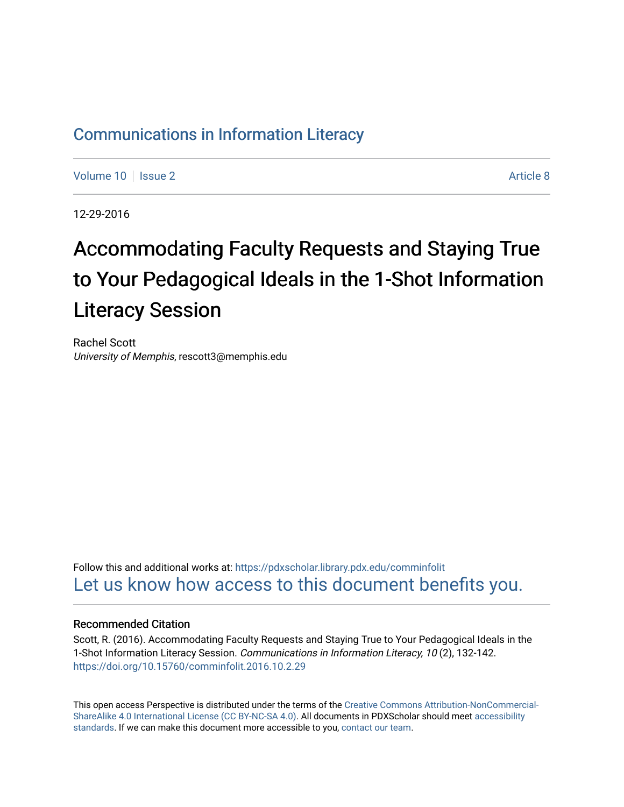### [Communications in Information Literacy](https://pdxscholar.library.pdx.edu/comminfolit)

[Volume 10](https://pdxscholar.library.pdx.edu/comminfolit/vol10) | [Issue 2](https://pdxscholar.library.pdx.edu/comminfolit/vol10/iss2) Article 8

12-29-2016

# Accommodating Faculty Requests and Staying True to Your Pedagogical Ideals in the 1-Shot Information Literacy Session

Rachel Scott University of Memphis, rescott3@memphis.edu

Follow this and additional works at: [https://pdxscholar.library.pdx.edu/comminfolit](https://pdxscholar.library.pdx.edu/comminfolit?utm_source=pdxscholar.library.pdx.edu%2Fcomminfolit%2Fvol10%2Fiss2%2F8&utm_medium=PDF&utm_campaign=PDFCoverPages)  [Let us know how access to this document benefits you.](http://library.pdx.edu/services/pdxscholar-services/pdxscholar-feedback/) 

#### Recommended Citation

Scott, R. (2016). Accommodating Faculty Requests and Staying True to Your Pedagogical Ideals in the 1-Shot Information Literacy Session. Communications in Information Literacy, 10 (2), 132-142. <https://doi.org/10.15760/comminfolit.2016.10.2.29>

This open access Perspective is distributed under the terms of the [Creative Commons Attribution-NonCommercial-](https://creativecommons.org/licenses/by-nc-sa/4.0/)[ShareAlike 4.0 International License \(CC BY-NC-SA 4.0\).](https://creativecommons.org/licenses/by-nc-sa/4.0/) All documents in PDXScholar should meet [accessibility](https://pdxscholar.library.pdx.edu/accessibility.html) [standards](https://pdxscholar.library.pdx.edu/accessibility.html). If we can make this document more accessible to you, [contact our team.](mailto:pdxscholar@pdx.edu)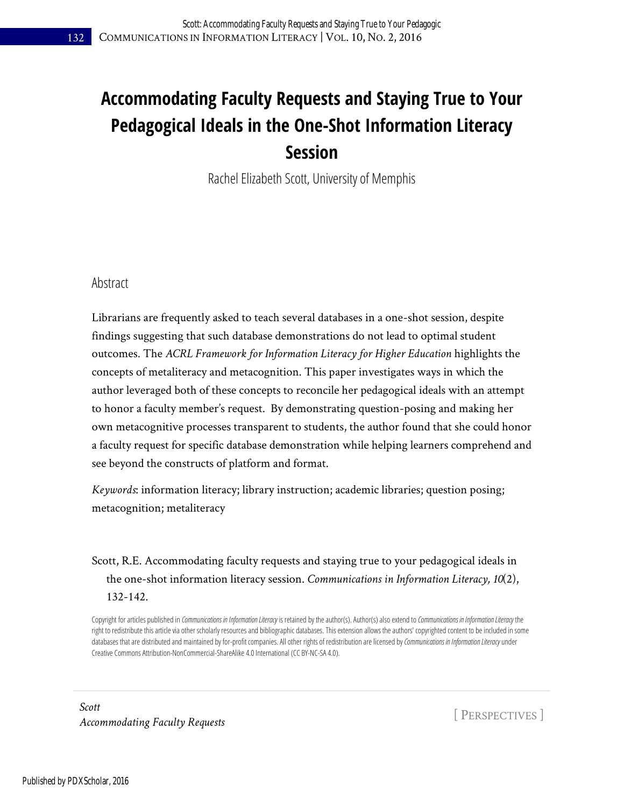## **Accommodating Faculty Requests and Staying True to Your Pedagogical Ideals in the One-Shot Information Literacy Session**

Rachel Elizabeth Scott, University of Memphis

#### Abstract

Librarians are frequently asked to teach several databases in a one-shot session, despite findings suggesting that such database demonstrations do not lead to optimal student outcomes. The *ACRL Framework for Information Literacy for Higher Education* highlights the concepts of metaliteracy and metacognition. This paper investigates ways in which the author leveraged both of these concepts to reconcile her pedagogical ideals with an attempt to honor a faculty member's request. By demonstrating question-posing and making her own metacognitive processes transparent to students, the author found that she could honor a faculty request for specific database demonstration while helping learners comprehend and see beyond the constructs of platform and format.

*Keywords*: information literacy; library instruction; academic libraries; question posing; metacognition; metaliteracy

#### Scott, R.E. Accommodating faculty requests and staying true to your pedagogical ideals in the one-shot information literacy session. *Communications in Information Literacy, 10*(2), 132-142.

Copyright for articles published in *Communications in Information Literacy* is retained by the author(s). Author(s) also extend to *Communications in Information Literacy* the right to redistribute this article via other scholarly resources and bibliographic databases. This extension allows the authors' copyrighted content to be included in some databases that are distributed and maintained by for-profit companies. All other rights of redistribution are licensed by *Communications in Information Literacy* under Creative Commons Attribution-NonCommercial-ShareAlike 4.0 International (CC BY-NC-SA 4.0).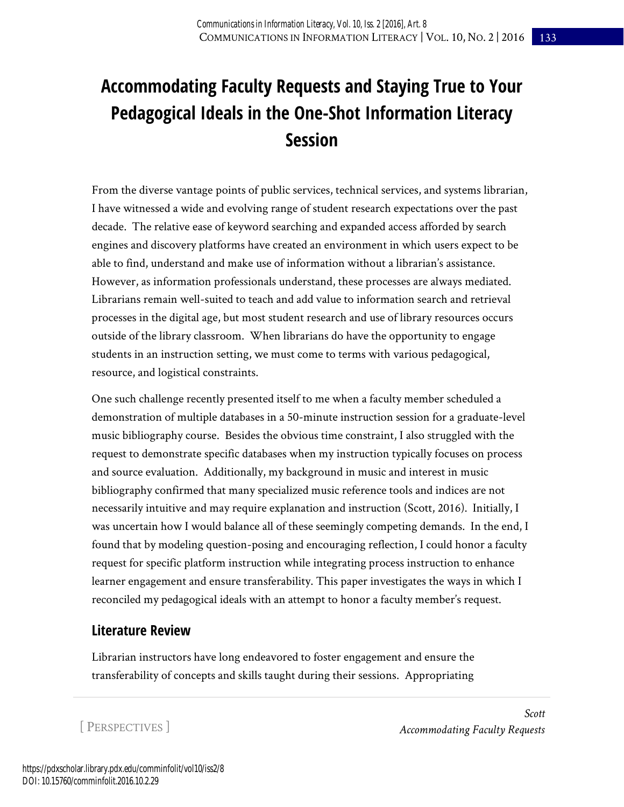## **Accommodating Faculty Requests and Staying True to Your Pedagogical Ideals in the One-Shot Information Literacy Session**

From the diverse vantage points of public services, technical services, and systems librarian, I have witnessed a wide and evolving range of student research expectations over the past decade. The relative ease of keyword searching and expanded access afforded by search engines and discovery platforms have created an environment in which users expect to be able to find, understand and make use of information without a librarian's assistance. However, as information professionals understand, these processes are always mediated. Librarians remain well-suited to teach and add value to information search and retrieval processes in the digital age, but most student research and use of library resources occurs outside of the library classroom. When librarians do have the opportunity to engage students in an instruction setting, we must come to terms with various pedagogical, resource, and logistical constraints.

One such challenge recently presented itself to me when a faculty member scheduled a demonstration of multiple databases in a 50-minute instruction session for a graduate-level music bibliography course. Besides the obvious time constraint, I also struggled with the request to demonstrate specific databases when my instruction typically focuses on process and source evaluation. Additionally, my background in music and interest in music bibliography confirmed that many specialized music reference tools and indices are not necessarily intuitive and may require explanation and instruction (Scott, 2016). Initially, I was uncertain how I would balance all of these seemingly competing demands. In the end, I found that by modeling question-posing and encouraging reflection, I could honor a faculty request for specific platform instruction while integrating process instruction to enhance learner engagement and ensure transferability. This paper investigates the ways in which I reconciled my pedagogical ideals with an attempt to honor a faculty member's request.

#### **Literature Review**

Librarian instructors have long endeavored to foster engagement and ensure the transferability of concepts and skills taught during their sessions. Appropriating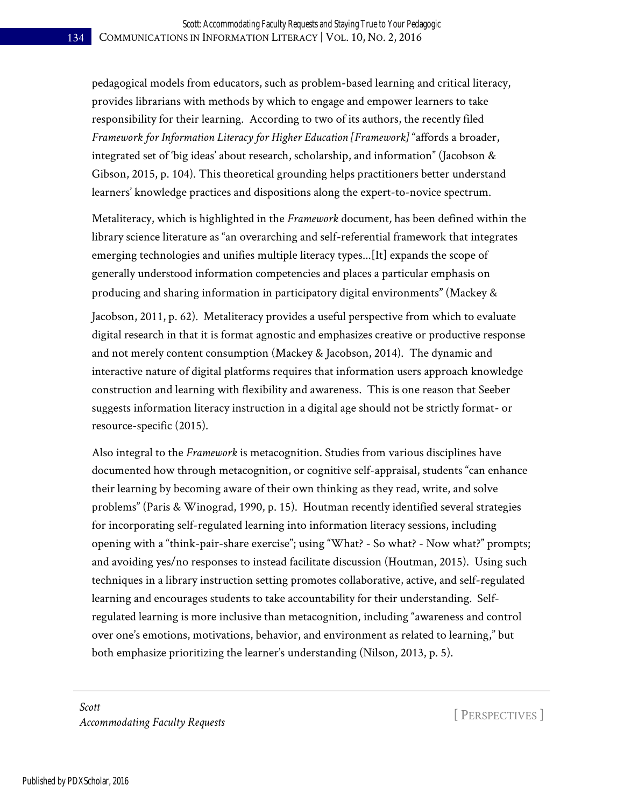pedagogical models from educators, such as problem-based learning and critical literacy, provides librarians with methods by which to engage and empower learners to take responsibility for their learning. According to two of its authors, the recently filed *Framework for Information Literacy for Higher Education [Framework]* "affords a broader, integrated set of 'big ideas' about research, scholarship, and information" (Jacobson & Gibson, 2015, p. 104). This theoretical grounding helps practitioners better understand learners' knowledge practices and dispositions along the expert-to-novice spectrum.

Metaliteracy, which is highlighted in the *Framework* document*,* has been defined within the library science literature as "an overarching and self-referential framework that integrates emerging technologies and unifies multiple literacy types...[It] expands the scope of generally understood information competencies and places a particular emphasis on producing and sharing information in participatory digital environments**"** (Mackey &

Jacobson, 2011, p. 62).Metaliteracy provides a useful perspective from which to evaluate digital research in that it is format agnostic and emphasizes creative or productive response and not merely content consumption (Mackey & Jacobson, 2014). The dynamic and interactive nature of digital platforms requires that information users approach knowledge construction and learning with flexibility and awareness. This is one reason that Seeber suggests information literacy instruction in a digital age should not be strictly format- or resource-specific (2015).

Also integral to the *Framework* is metacognition. Studies from various disciplines have documented how through metacognition, or cognitive self-appraisal, students "can enhance their learning by becoming aware of their own thinking as they read, write, and solve problems" (Paris & Winograd, 1990, p. 15). Houtman recently identified several strategies for incorporating self-regulated learning into information literacy sessions, including opening with a "think-pair-share exercise"; using "What? - So what? - Now what?" prompts; and avoiding yes/no responses to instead facilitate discussion (Houtman, 2015). Using such techniques in a library instruction setting promotes collaborative, active, and self-regulated learning and encourages students to take accountability for their understanding. Selfregulated learning is more inclusive than metacognition, including "awareness and control over one's emotions, motivations, behavior, and environment as related to learning," but both emphasize prioritizing the learner's understanding (Nilson, 2013, p. 5).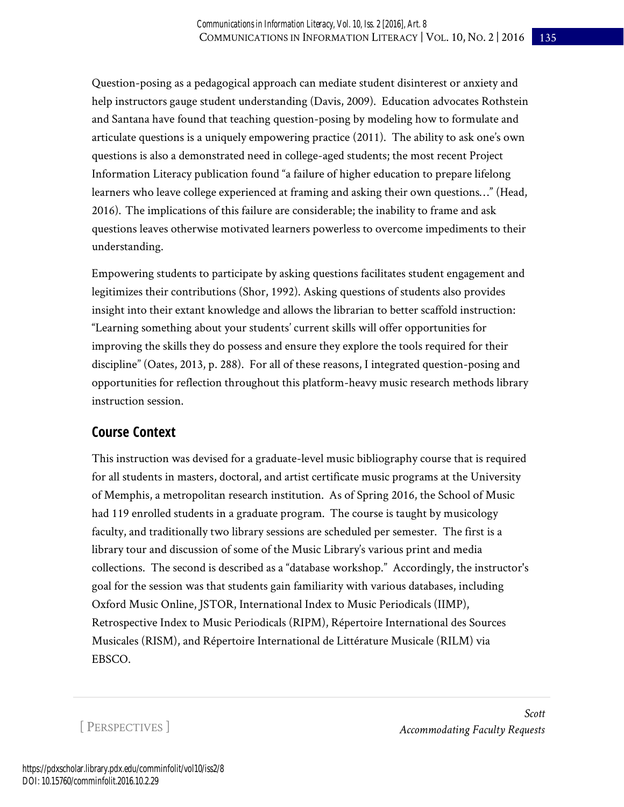Question-posing as a pedagogical approach can mediate student disinterest or anxiety and help instructors gauge student understanding (Davis, 2009). Education advocates Rothstein and Santana have found that teaching question-posing by modeling how to formulate and articulate questions is a uniquely empowering practice (2011). The ability to ask one's own questions is also a demonstrated need in college-aged students; the most recent Project Information Literacy publication found "a failure of higher education to prepare lifelong learners who leave college experienced at framing and asking their own questions…" (Head, 2016). The implications of this failure are considerable; the inability to frame and ask questions leaves otherwise motivated learners powerless to overcome impediments to their understanding.

Empowering students to participate by asking questions facilitates student engagement and legitimizes their contributions (Shor, 1992). Asking questions of students also provides insight into their extant knowledge and allows the librarian to better scaffold instruction: "Learning something about your students' current skills will offer opportunities for improving the skills they do possess and ensure they explore the tools required for their discipline" (Oates, 2013, p. 288). For all of these reasons, I integrated question-posing and opportunities for reflection throughout this platform-heavy music research methods library instruction session.

#### **Course Context**

This instruction was devised for a graduate-level music bibliography course that is required for all students in masters, doctoral, and artist certificate music programs at the University of Memphis, a metropolitan research institution.As of Spring 2016, the School of Music had 119 enrolled students in a graduate program.The course is taught by musicology faculty, and traditionally two library sessions are scheduled per semester. The first is a library tour and discussion of some of the Music Library's various print and media collections. The second is described as a "database workshop." Accordingly, the instructor's goal for the session was that students gain familiarity with various databases, including Oxford Music Online, JSTOR, International Index to Music Periodicals (IIMP), Retrospective Index to Music Periodicals (RIPM), Répertoire International des Sources Musicales (RISM), and Répertoire International de Littérature Musicale (RILM) via EBSCO.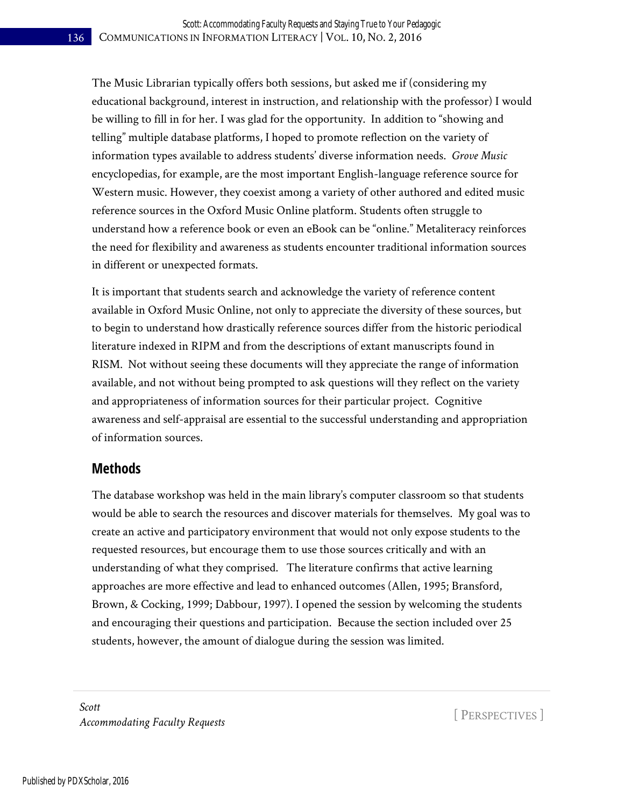The Music Librarian typically offers both sessions, but asked me if (considering my educational background, interest in instruction, and relationship with the professor) I would be willing to fill in for her. I was glad for the opportunity. In addition to "showing and telling" multiple database platforms, I hoped to promote reflection on the variety of information types available to address students' diverse information needs. *Grove Music* encyclopedias, for example, are the most important English-language reference source for Western music. However, they coexist among a variety of other authored and edited music reference sources in the Oxford Music Online platform. Students often struggle to understand how a reference book or even an eBook can be "online." Metaliteracy reinforces the need for flexibility and awareness as students encounter traditional information sources in different or unexpected formats.

It is important that students search and acknowledge the variety of reference content available in Oxford Music Online, not only to appreciate the diversity of these sources, but to begin to understand how drastically reference sources differ from the historic periodical literature indexed in RIPM and from the descriptions of extant manuscripts found in RISM. Not without seeing these documents will they appreciate the range of information available, and not without being prompted to ask questions will they reflect on the variety and appropriateness of information sources for their particular project. Cognitive awareness and self-appraisal are essential to the successful understanding and appropriation of information sources.

#### **Methods**

The database workshop was held in the main library's computer classroom so that students would be able to search the resources and discover materials for themselves. My goal was to create an active and participatory environment that would not only expose students to the requested resources, but encourage them to use those sources critically and with an understanding of what they comprised. The literature confirms that active learning approaches are more effective and lead to enhanced outcomes (Allen, 1995; Bransford, Brown, & Cocking, 1999; Dabbour, 1997). I opened the session by welcoming the students and encouraging their questions and participation. Because the section included over 25 students, however, the amount of dialogue during the session was limited.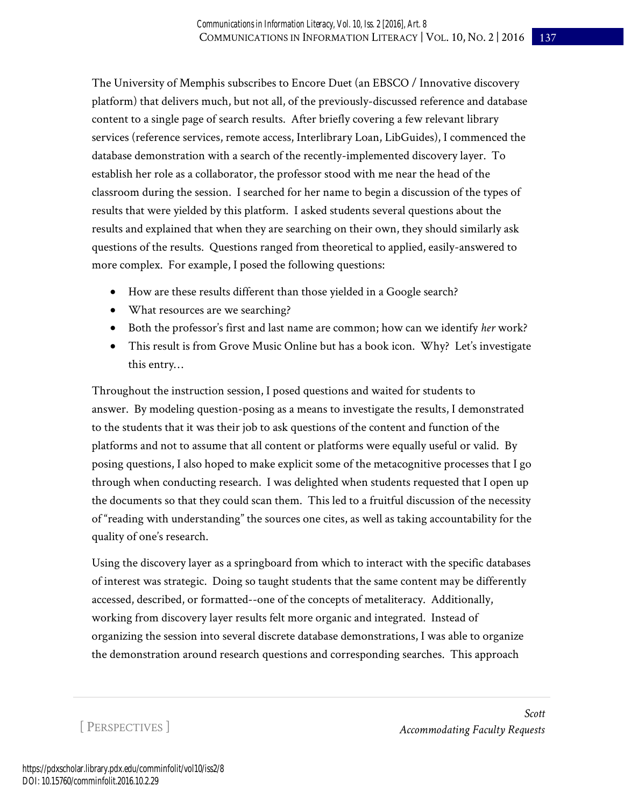The University of Memphis subscribes to Encore Duet (an EBSCO / Innovative discovery platform) that delivers much, but not all, of the previously-discussed reference and database content to a single page of search results. After briefly covering a few relevant library services (reference services, remote access, Interlibrary Loan, LibGuides), I commenced the database demonstration with a search of the recently-implemented discovery layer. To establish her role as a collaborator, the professor stood with me near the head of the classroom during the session. I searched for her name to begin a discussion of the types of results that were yielded by this platform. I asked students several questions about the results and explained that when they are searching on their own, they should similarly ask questions of the results. Questions ranged from theoretical to applied, easily-answered to more complex. For example, I posed the following questions:

- How are these results different than those yielded in a Google search?
- What resources are we searching?
- Both the professor's first and last name are common; how can we identify *her* work?
- This result is from Grove Music Online but has a book icon. Why? Let's investigate this entry…

Throughout the instruction session, I posed questions and waited for students to answer. By modeling question-posing as a means to investigate the results, I demonstrated to the students that it was their job to ask questions of the content and function of the platforms and not to assume that all content or platforms were equally useful or valid. By posing questions, I also hoped to make explicit some of the metacognitive processes that I go through when conducting research. I was delighted when students requested that I open up the documents so that they could scan them. This led to a fruitful discussion of the necessity of "reading with understanding" the sources one cites, as well as taking accountability for the quality of one's research.

Using the discovery layer as a springboard from which to interact with the specific databases of interest was strategic. Doing so taught students that the same content may be differently accessed, described, or formatted--one of the concepts of metaliteracy. Additionally, working from discovery layer results felt more organic and integrated. Instead of organizing the session into several discrete database demonstrations, I was able to organize the demonstration around research questions and corresponding searches. This approach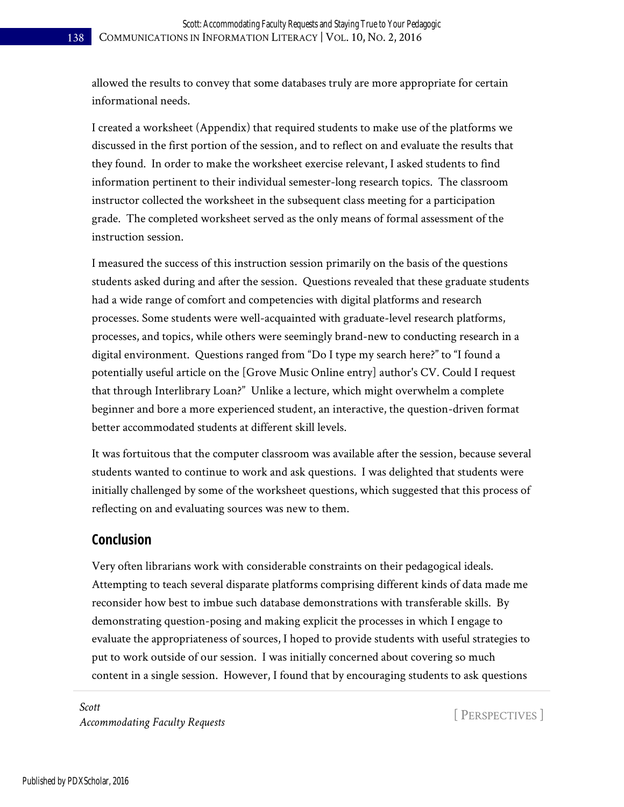allowed the results to convey that some databases truly are more appropriate for certain informational needs.

I created a worksheet (Appendix) that required students to make use of the platforms we discussed in the first portion of the session, and to reflect on and evaluate the results that they found. In order to make the worksheet exercise relevant, I asked students to find information pertinent to their individual semester-long research topics. The classroom instructor collected the worksheet in the subsequent class meeting for a participation grade. The completed worksheet served as the only means of formal assessment of the instruction session.

I measured the success of this instruction session primarily on the basis of the questions students asked during and after the session. Questions revealed that these graduate students had a wide range of comfort and competencies with digital platforms and research processes. Some students were well-acquainted with graduate-level research platforms, processes, and topics, while others were seemingly brand-new to conducting research in a digital environment. Questions ranged from "Do I type my search here?" to "I found a potentially useful article on the [Grove Music Online entry] author's CV. Could I request that through Interlibrary Loan?" Unlike a lecture, which might overwhelm a complete beginner and bore a more experienced student, an interactive, the question-driven format better accommodated students at different skill levels.

It was fortuitous that the computer classroom was available after the session, because several students wanted to continue to work and ask questions. I was delighted that students were initially challenged by some of the worksheet questions, which suggested that this process of reflecting on and evaluating sources was new to them.

#### **Conclusion**

Very often librarians work with considerable constraints on their pedagogical ideals. Attempting to teach several disparate platforms comprising different kinds of data made me reconsider how best to imbue such database demonstrations with transferable skills. By demonstrating question-posing and making explicit the processes in which I engage to evaluate the appropriateness of sources, I hoped to provide students with useful strategies to put to work outside of our session. I was initially concerned about covering so much content in a single session. However, I found that by encouraging students to ask questions

*Scott Accommodating Faculty Requests* [ PERSPECTIVES ]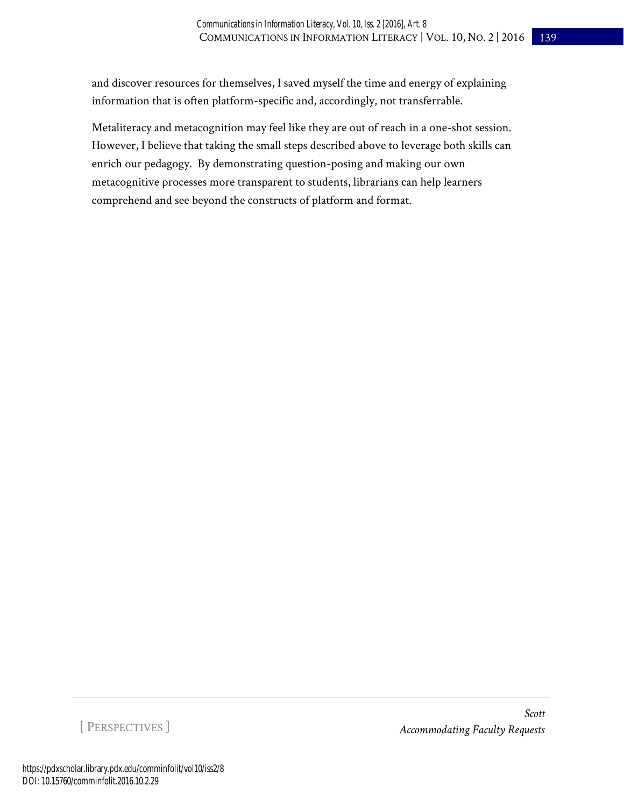and discover resources for themselves, I saved myself the time and energy of explaining information that is often platform-specific and, accordingly, not transferrable.

Metaliteracy and metacognition may feel like they are out of reach in a one-shot session. However, I believe that taking the small steps described above to leverage both skills can enrich our pedagogy. By demonstrating question-posing and making our own metacognitive processes more transparent to students, librarians can help learners comprehend and see beyond the constructs of platform and format.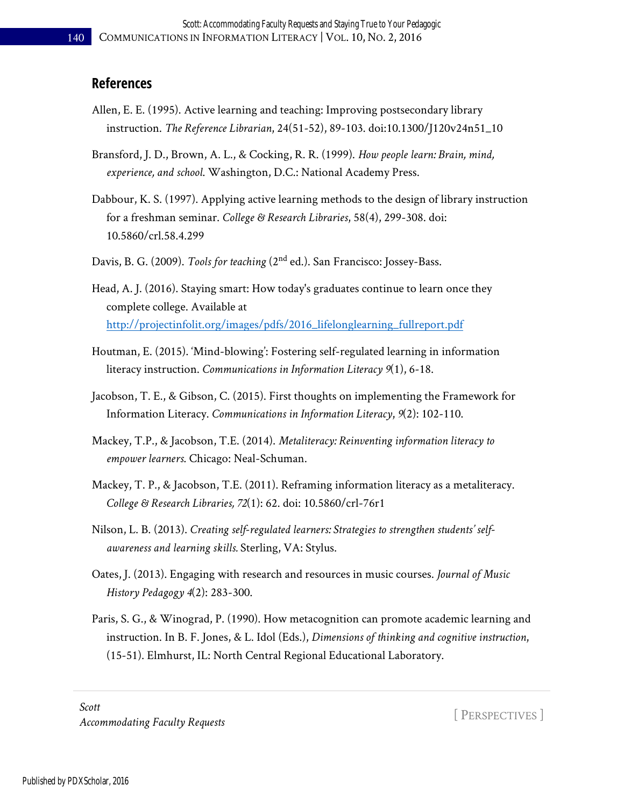#### **References**

- Allen, E. E. (1995). Active learning and teaching: Improving postsecondary library instruction. *The Reference Librarian*, 24(51-52), 89-103. doi:10.1300/J120v24n51\_10
- Bransford, J. D., Brown, A. L., & Cocking, R. R. (1999). *How people learn: Brain, mind, experience, and school*. Washington, D.C.: National Academy Press.
- Dabbour, K. S. (1997). Applying active learning methods to the design of library instruction for a freshman seminar. *College & Research Libraries*, 58(4), 299-308. doi: 10.5860/crl.58.4.299
- Davis, B. G. (2009). *Tools for teaching* (2nd ed.). San Francisco: Jossey-Bass.
- Head, A. J. (2016). Staying smart: How today's graduates continue to learn once they complete college. Available at [http://projectinfolit.org/images/pdfs/2016\\_lifelonglearning\\_fullreport.pdf](http://projectinfolit.org/images/pdfs/2016_lifelonglearning_fullreport.pdf)
- Houtman, E. (2015). 'Mind-blowing': Fostering self-regulated learning in information literacy instruction. *Communications in Information Literacy 9*(1), 6-18.
- Jacobson, T. E., & Gibson, C. (2015). First thoughts on implementing the Framework for Information Literacy. *Communications in Information Literacy*, *9*(2): 102-110.
- Mackey, T.P., & Jacobson, T.E. (2014). *Metaliteracy: Reinventing information literacy to empower learners*. Chicago: Neal-Schuman.
- Mackey, T. P., & Jacobson, T.E. (2011). Reframing information literacy as a metaliteracy. *College & Research Libraries, 72*(1): 62. doi: 10.5860/crl-76r1
- Nilson, L. B. (2013). *Creating self-regulated learners: Strategies to strengthen students' selfawareness and learning skills.* Sterling, VA: Stylus.
- Oates, J. (2013). Engaging with research and resources in music courses. *Journal of Music History Pedagogy 4*(2): 283-300.
- Paris, S. G., & Winograd, P. (1990). How metacognition can promote academic learning and instruction. In B. F. Jones, & L. Idol (Eds.), *Dimensions of thinking and cognitive instruction*, (15-51). Elmhurst, IL: North Central Regional Educational Laboratory.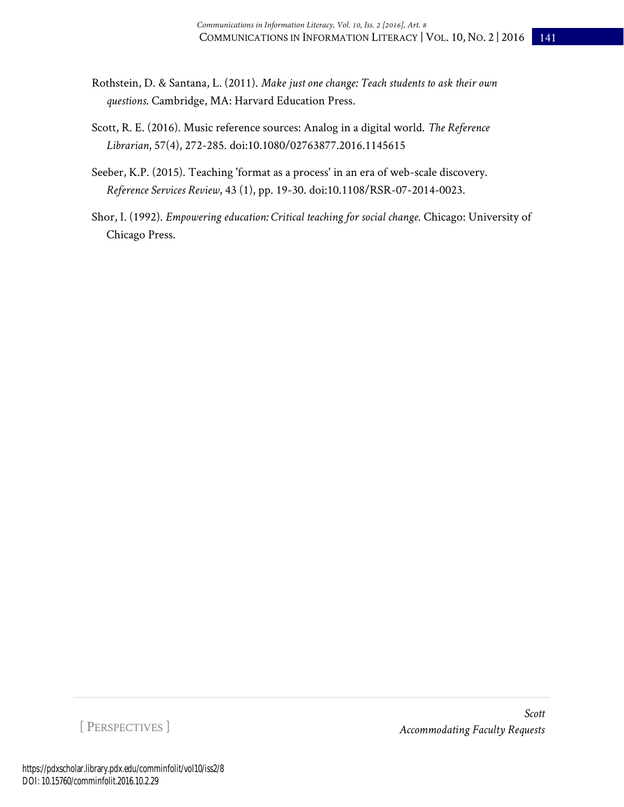- Rothstein, D. & Santana, L. (2011). *Make just one change: Teach students to ask their own questions*. Cambridge, MA: Harvard Education Press.
- Scott, R. E. (2016). Music reference sources: Analog in a digital world. *The Reference Librarian*, 57(4), 272-285. doi:10.1080/02763877.2016.1145615
- Seeber, K.P. (2015). Teaching 'format as a process' in an era of web-scale discovery. *Reference Services Review*, 43 (1), pp. 19-30. doi:10.1108/RSR-07-2014-0023.
- Shor, I. (1992). *Empowering education: Critical teaching for social change*. Chicago: University of Chicago Press.